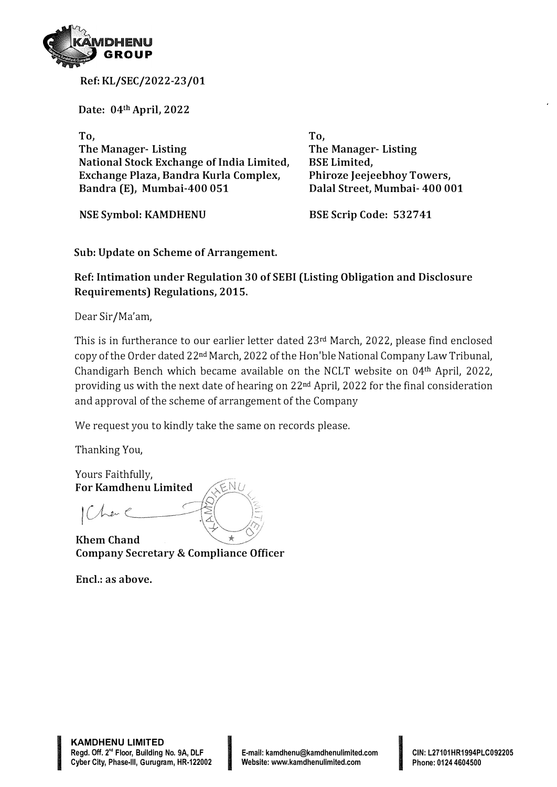

**Ref: KL/SEC/2022-23/01**

**Date: 04th April, 2022** 

**To, The Manager- Listing National Stock Exchange of India Limited, Exchange Plaza, Bandra Kurla Complex, Bandra (E), Mumbai-400 051** 

**NSE Symbol: KAMDHENU** 

**To, The Manager- Listing BSE Limited, Phiroze Jeejeebhoy Towers, Dalal Street, Mumbai- 400 001** 

**BSE Scrip Code: 532741** 

**Sub: Update on Scheme of Arrangement.** 

**Ref: Intimation under Regulation 30 of SEBI (Listing Obligation and Disclosure Requirements) Regulations, 2015.** 

Dear Sir/Ma'am,

This is in furtherance to our earlier letter dated 23rd March, 2022, please find enclosed copy of the Order dated 22nd March, 2022 of the Hon'ble National Company Law Tribunal, Chandigarh Bench which became available on the NCLT website on 04th April, 2022, providing us with the next date of hearing on 22nd April, 2022 for the final consideration and approval of the scheme of arrangement of the Company

We request you to kindly take the same on records please.

Thanking You,

Yours Faithfully, **For Kamdhenu Limited** 

 $|(\bigwedge_{\alpha}e_{\alpha})|$ 

**Rhem Chand Company Secretary & Compliance Officer** 

**Encl.: as above.** 

IN THE REPORT OF PERSONAL PROPERTY AND INTERNATIONAL